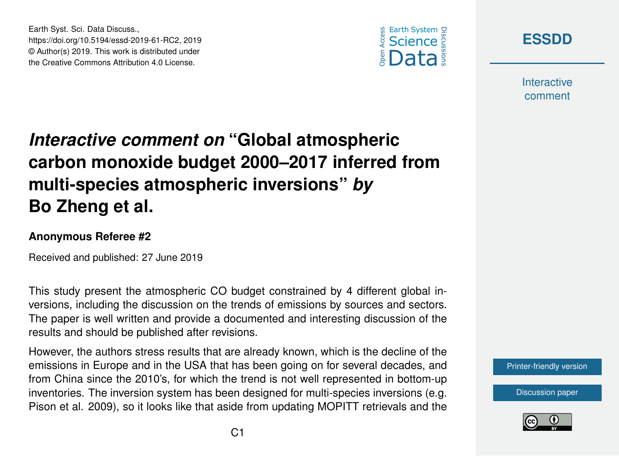



**Interactive** comment

# *Interactive comment on* **"Global atmospheric carbon monoxide budget 2000–2017 inferred from multi-species atmospheric inversions"** *by* **Bo Zheng et al.**

#### **Anonymous Referee #2**

Earth Syst. Sci. Data Discuss.,

https://doi.org/10.5194/essd-2019-61-RC2, 2019 © Author(s) 2019. This work is distributed under the Creative Commons Attribution 4.0 License.

Received and published: 27 June 2019

This study present the atmospheric CO budget constrained by 4 different global inversions, including the discussion on the trends of emissions by sources and sectors. The paper is well written and provide a documented and interesting discussion of the results and should be published after revisions.

However, the authors stress results that are already known, which is the decline of the emissions in Europe and in the USA that has been going on for several decades, and from China since the 2010's, for which the trend is not well represented in bottom-up inventories. The inversion system has been designed for multi-species inversions (e.g. Pison et al. 2009), so it looks like that aside from updating MOPITT retrievals and the

[Printer-friendly version](https://www.earth-syst-sci-data-discuss.net/essd-2019-61/essd-2019-61-RC2-print.pdf)

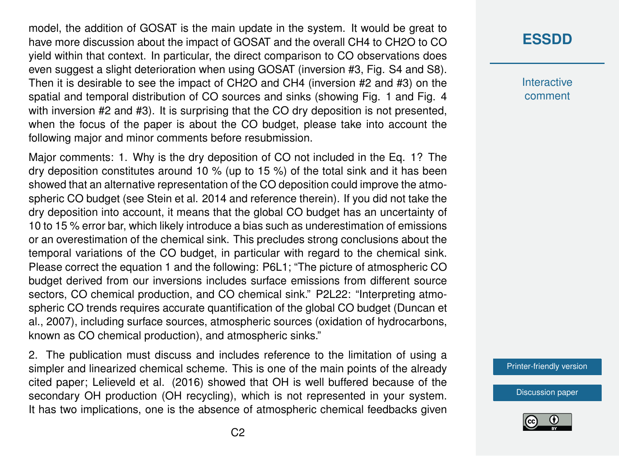model, the addition of GOSAT is the main update in the system. It would be great to have more discussion about the impact of GOSAT and the overall CH4 to CH2O to CO yield within that context. In particular, the direct comparison to CO observations does even suggest a slight deterioration when using GOSAT (inversion #3, Fig. S4 and S8). Then it is desirable to see the impact of CH2O and CH4 (inversion #2 and #3) on the spatial and temporal distribution of CO sources and sinks (showing Fig. 1 and Fig. 4 with inversion #2 and #3). It is surprising that the CO dry deposition is not presented, when the focus of the paper is about the CO budget, please take into account the following major and minor comments before resubmission.

Major comments: 1. Why is the dry deposition of CO not included in the Eq. 1? The dry deposition constitutes around 10 % (up to 15 %) of the total sink and it has been showed that an alternative representation of the CO deposition could improve the atmospheric CO budget (see Stein et al. 2014 and reference therein). If you did not take the dry deposition into account, it means that the global CO budget has an uncertainty of 10 to 15 % error bar, which likely introduce a bias such as underestimation of emissions or an overestimation of the chemical sink. This precludes strong conclusions about the temporal variations of the CO budget, in particular with regard to the chemical sink. Please correct the equation 1 and the following: P6L1; "The picture of atmospheric CO budget derived from our inversions includes surface emissions from different source sectors, CO chemical production, and CO chemical sink." P2L22: "Interpreting atmospheric CO trends requires accurate quantification of the global CO budget (Duncan et al., 2007), including surface sources, atmospheric sources (oxidation of hydrocarbons, known as CO chemical production), and atmospheric sinks."

2. The publication must discuss and includes reference to the limitation of using a simpler and linearized chemical scheme. This is one of the main points of the already cited paper; Lelieveld et al. (2016) showed that OH is well buffered because of the secondary OH production (OH recycling), which is not represented in your system. It has two implications, one is the absence of atmospheric chemical feedbacks given

### **[ESSDD](https://www.earth-syst-sci-data-discuss.net/)**

**Interactive** comment

[Printer-friendly version](https://www.earth-syst-sci-data-discuss.net/essd-2019-61/essd-2019-61-RC2-print.pdf)

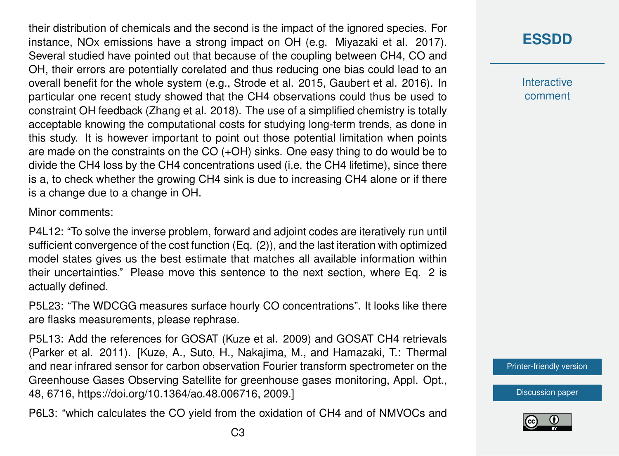their distribution of chemicals and the second is the impact of the ignored species. For instance, NOx emissions have a strong impact on OH (e.g. Miyazaki et al. 2017). Several studied have pointed out that because of the coupling between CH4, CO and OH, their errors are potentially corelated and thus reducing one bias could lead to an overall benefit for the whole system (e.g., Strode et al. 2015, Gaubert et al. 2016). In particular one recent study showed that the CH4 observations could thus be used to constraint OH feedback (Zhang et al. 2018). The use of a simplified chemistry is totally acceptable knowing the computational costs for studying long-term trends, as done in this study. It is however important to point out those potential limitation when points are made on the constraints on the CO (+OH) sinks. One easy thing to do would be to divide the CH4 loss by the CH4 concentrations used (i.e. the CH4 lifetime), since there is a, to check whether the growing CH4 sink is due to increasing CH4 alone or if there is a change due to a change in OH.

Minor comments:

P4L12: "To solve the inverse problem, forward and adjoint codes are iteratively run until sufficient convergence of the cost function (Eq. (2)), and the last iteration with optimized model states gives us the best estimate that matches all available information within their uncertainties." Please move this sentence to the next section, where Eq. 2 is actually defined.

P5L23: "The WDCGG measures surface hourly CO concentrations". It looks like there are flasks measurements, please rephrase.

P5L13: Add the references for GOSAT (Kuze et al. 2009) and GOSAT CH4 retrievals (Parker et al. 2011). [Kuze, A., Suto, H., Nakajima, M., and Hamazaki, T.: Thermal and near infrared sensor for carbon observation Fourier transform spectrometer on the Greenhouse Gases Observing Satellite for greenhouse gases monitoring, Appl. Opt., 48, 6716, https://doi.org/10.1364/ao.48.006716, 2009.]

P6L3: "which calculates the CO yield from the oxidation of CH4 and of NMVOCs and

**Interactive** comment

[Printer-friendly version](https://www.earth-syst-sci-data-discuss.net/essd-2019-61/essd-2019-61-RC2-print.pdf)

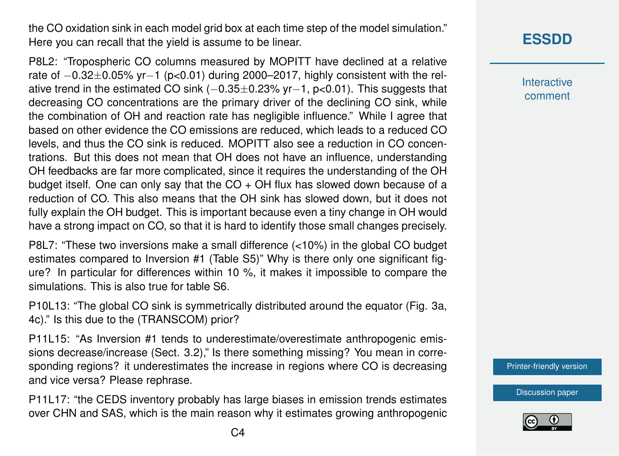the CO oxidation sink in each model grid box at each time step of the model simulation." Here you can recall that the yield is assume to be linear.

P8L2: "Tropospheric CO columns measured by MOPITT have declined at a relative rate of −0.32±0.05% yr−1 (p<0.01) during 2000–2017, highly consistent with the relative trend in the estimated CO sink (−0.35±0.23% yr−1, p<0.01). This suggests that decreasing CO concentrations are the primary driver of the declining CO sink, while the combination of OH and reaction rate has negligible influence." While I agree that based on other evidence the CO emissions are reduced, which leads to a reduced CO levels, and thus the CO sink is reduced. MOPITT also see a reduction in CO concentrations. But this does not mean that OH does not have an influence, understanding OH feedbacks are far more complicated, since it requires the understanding of the OH budget itself. One can only say that the  $CO + OH$  flux has slowed down because of a reduction of CO. This also means that the OH sink has slowed down, but it does not fully explain the OH budget. This is important because even a tiny change in OH would have a strong impact on CO, so that it is hard to identify those small changes precisely.

P8L7: "These two inversions make a small difference (<10%) in the global CO budget estimates compared to Inversion #1 (Table S5)" Why is there only one significant figure? In particular for differences within 10 %, it makes it impossible to compare the simulations. This is also true for table S6.

P10L13: "The global CO sink is symmetrically distributed around the equator (Fig. 3a, 4c)." Is this due to the (TRANSCOM) prior?

P11L15: "As Inversion #1 tends to underestimate/overestimate anthropogenic emissions decrease/increase (Sect. 3.2)," Is there something missing? You mean in corresponding regions? it underestimates the increase in regions where CO is decreasing and vice versa? Please rephrase.

P11L17: "the CEDS inventory probably has large biases in emission trends estimates over CHN and SAS, which is the main reason why it estimates growing anthropogenic

## **[ESSDD](https://www.earth-syst-sci-data-discuss.net/)**

**Interactive** comment

[Printer-friendly version](https://www.earth-syst-sci-data-discuss.net/essd-2019-61/essd-2019-61-RC2-print.pdf)

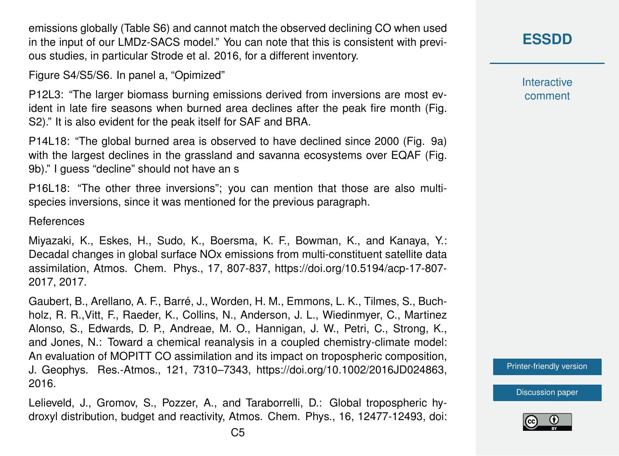emissions globally (Table S6) and cannot match the observed declining CO when used in the input of our LMDz-SACS model." You can note that this is consistent with previous studies, in particular Strode et al. 2016, for a different inventory.

Figure S4/S5/S6. In panel a, "Opimized"

P12L3: "The larger biomass burning emissions derived from inversions are most evident in late fire seasons when burned area declines after the peak fire month (Fig. S2)." It is also evident for the peak itself for SAF and BRA.

P14L18: "The global burned area is observed to have declined since 2000 (Fig. 9a) with the largest declines in the grassland and savanna ecosystems over EQAF (Fig. 9b)." I guess "decline" should not have an s

P16L18: "The other three inversions"; you can mention that those are also multispecies inversions, since it was mentioned for the previous paragraph.

References

Miyazaki, K., Eskes, H., Sudo, K., Boersma, K. F., Bowman, K., and Kanaya, Y.: Decadal changes in global surface NOx emissions from multi-constituent satellite data assimilation, Atmos. Chem. Phys., 17, 807-837, https://doi.org/10.5194/acp-17-807- 2017, 2017.

Gaubert, B., Arellano, A. F., Barré, J., Worden, H. M., Emmons, L. K., Tilmes, S., Buchholz, R. R.,Vitt, F., Raeder, K., Collins, N., Anderson, J. L., Wiedinmyer, C., Martinez Alonso, S., Edwards, D. P., Andreae, M. O., Hannigan, J. W., Petri, C., Strong, K., and Jones, N.: Toward a chemical reanalysis in a coupled chemistry-climate model: An evaluation of MOPITT CO assimilation and its impact on tropospheric composition, J. Geophys. Res.-Atmos., 121, 7310–7343, https://doi.org/10.1002/2016JD024863, 2016.

Lelieveld, J., Gromov, S., Pozzer, A., and Taraborrelli, D.: Global tropospheric hydroxyl distribution, budget and reactivity, Atmos. Chem. Phys., 16, 12477-12493, doi: **[ESSDD](https://www.earth-syst-sci-data-discuss.net/)**

**Interactive** comment

[Printer-friendly version](https://www.earth-syst-sci-data-discuss.net/essd-2019-61/essd-2019-61-RC2-print.pdf)